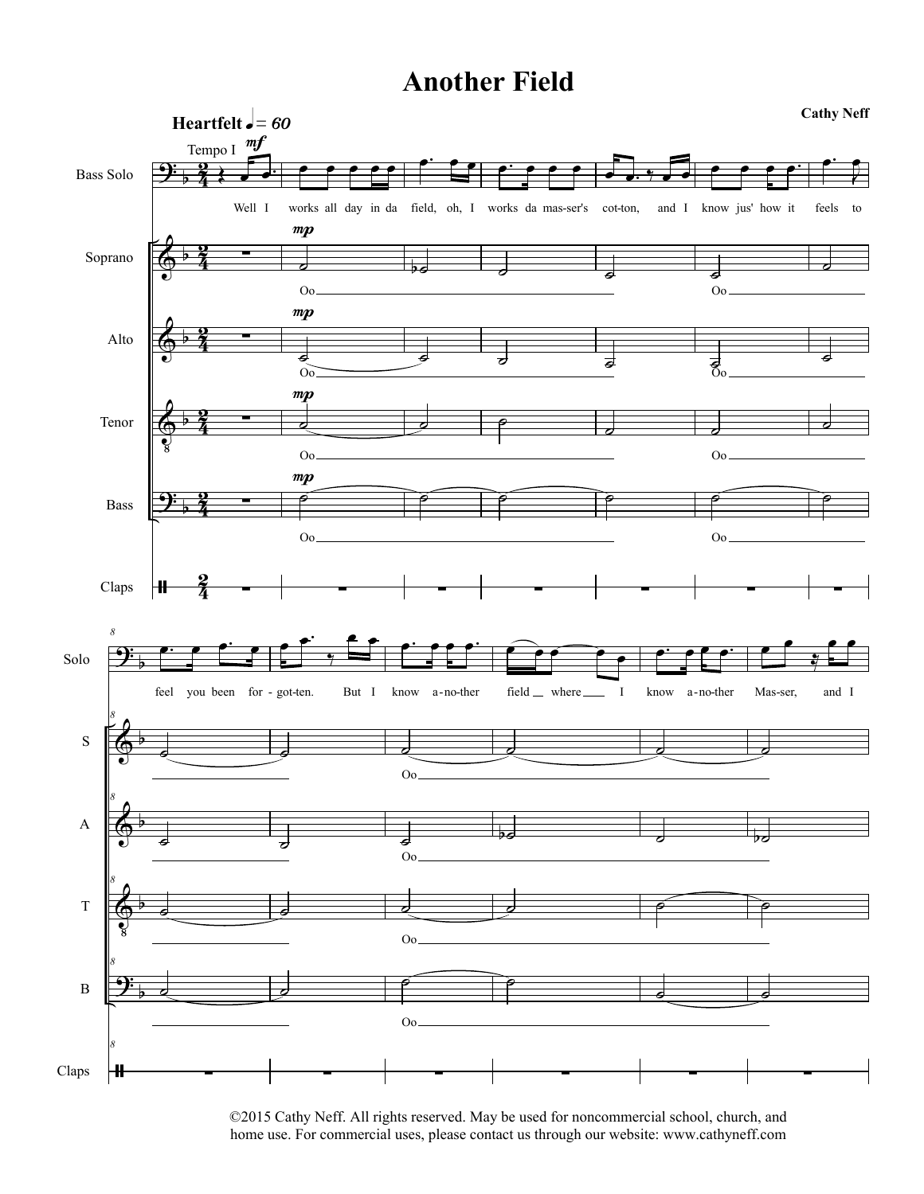## **Another Field**



©2015 Cathy Neff. All rights reserved. May be used for noncommercial school, church, and home use. For commercial uses, please contact us through our website: www.cathyneff.com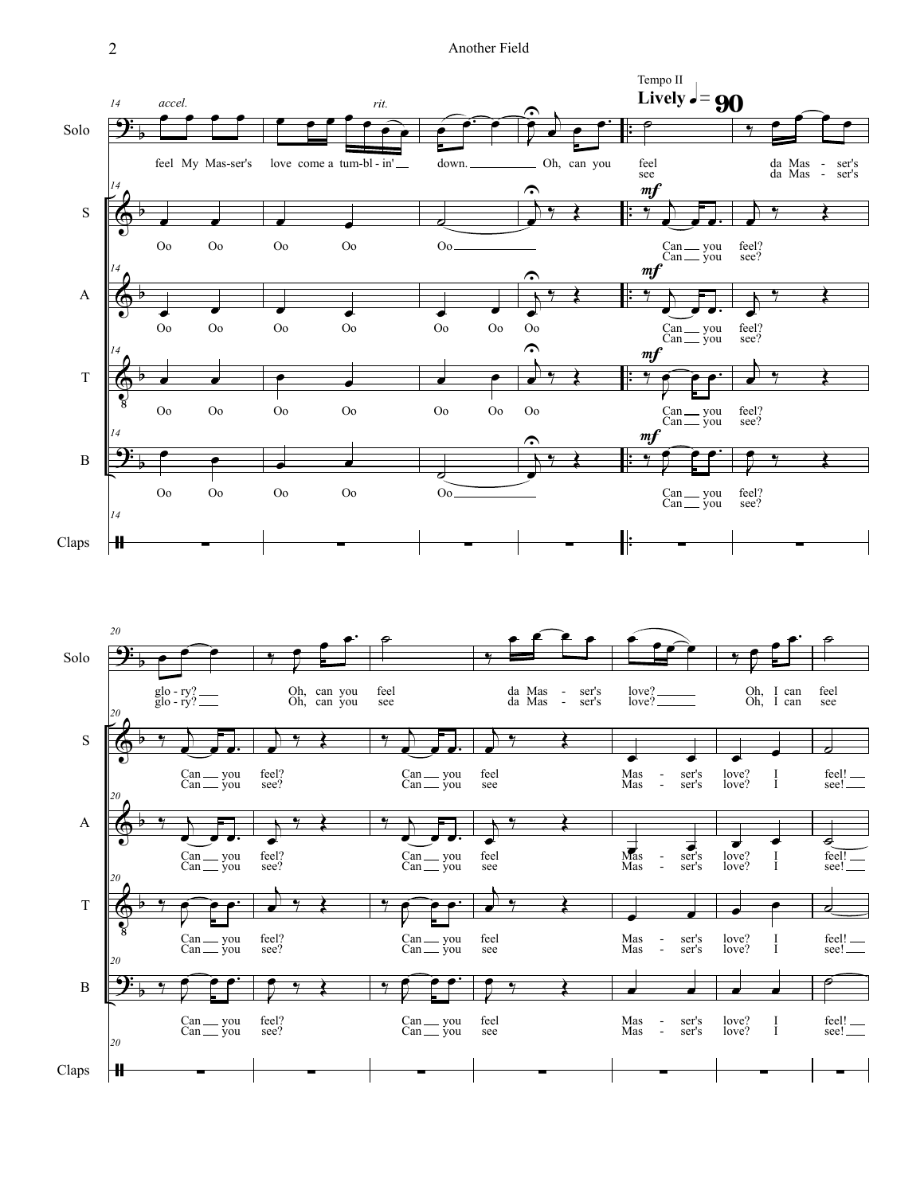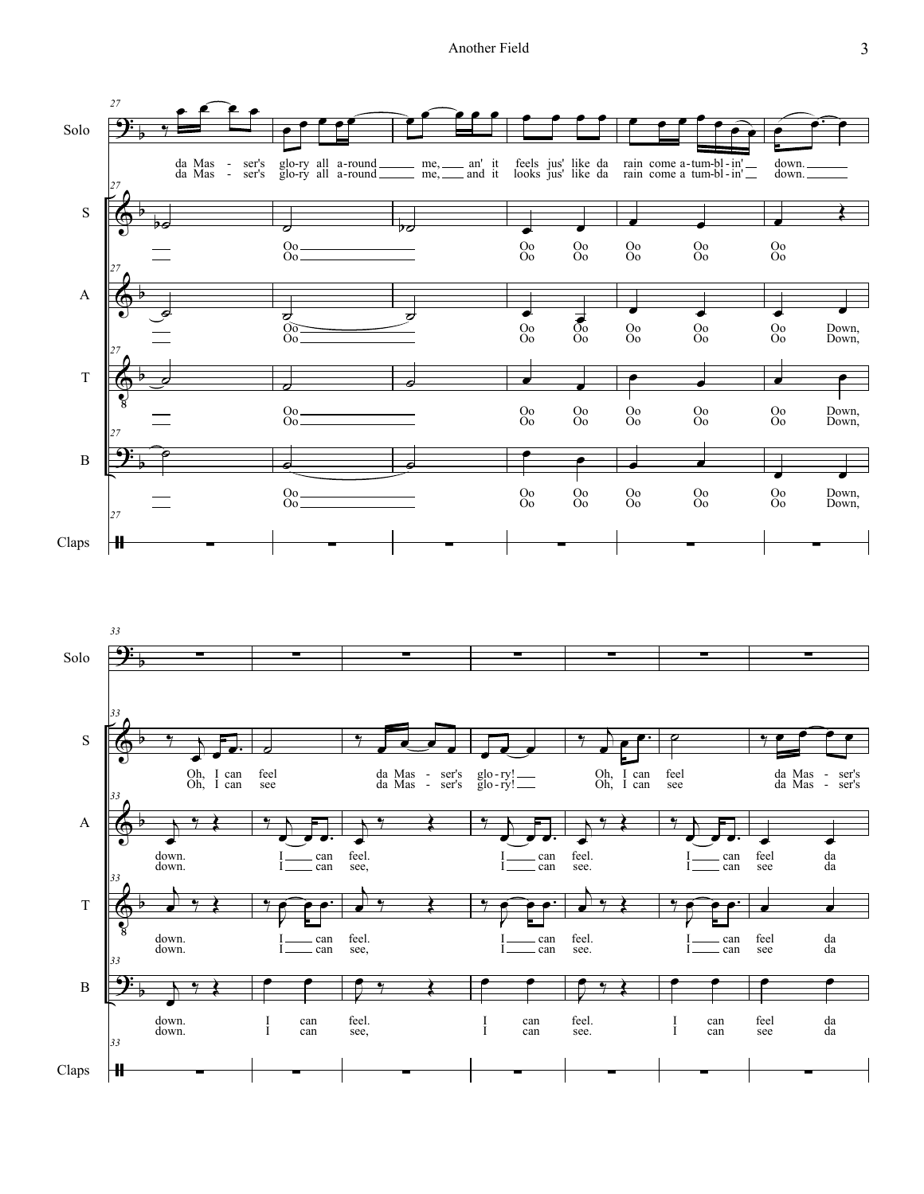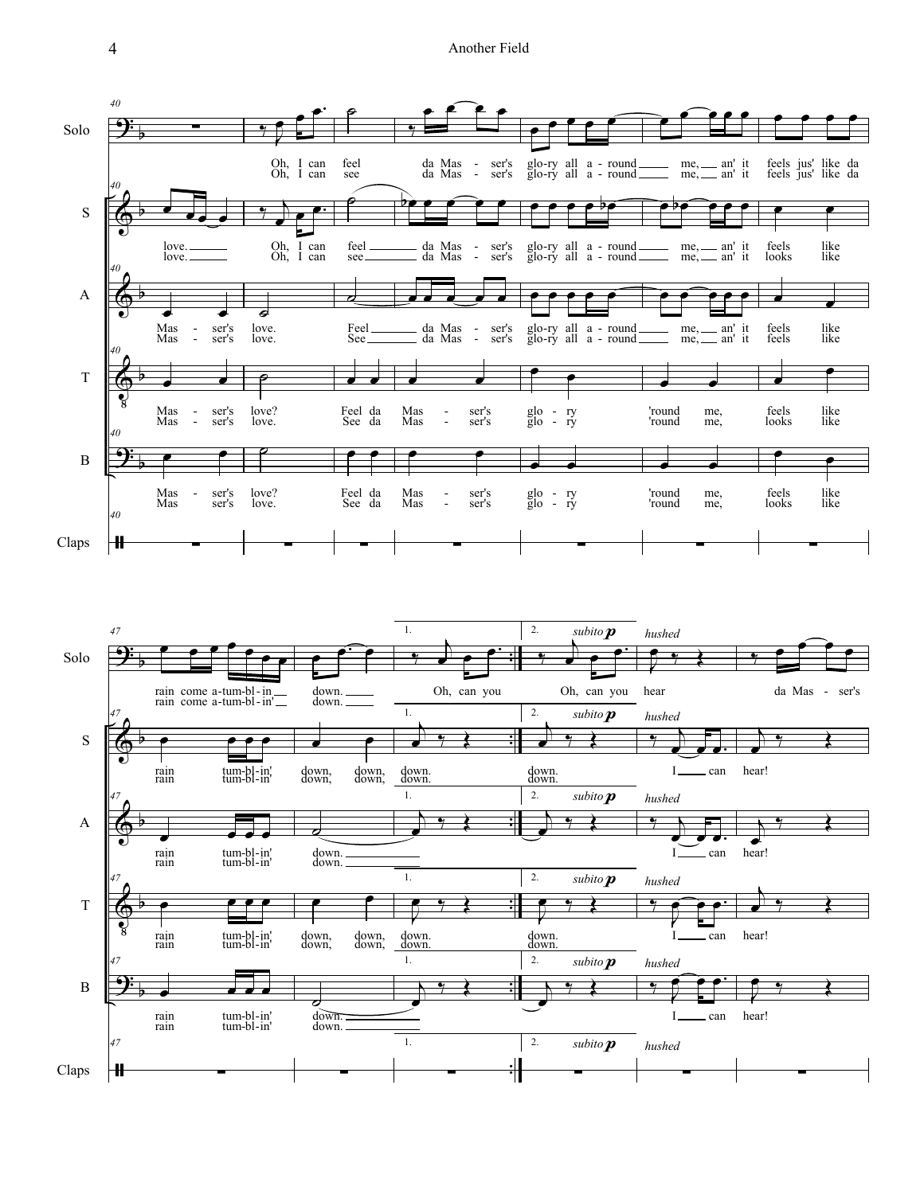

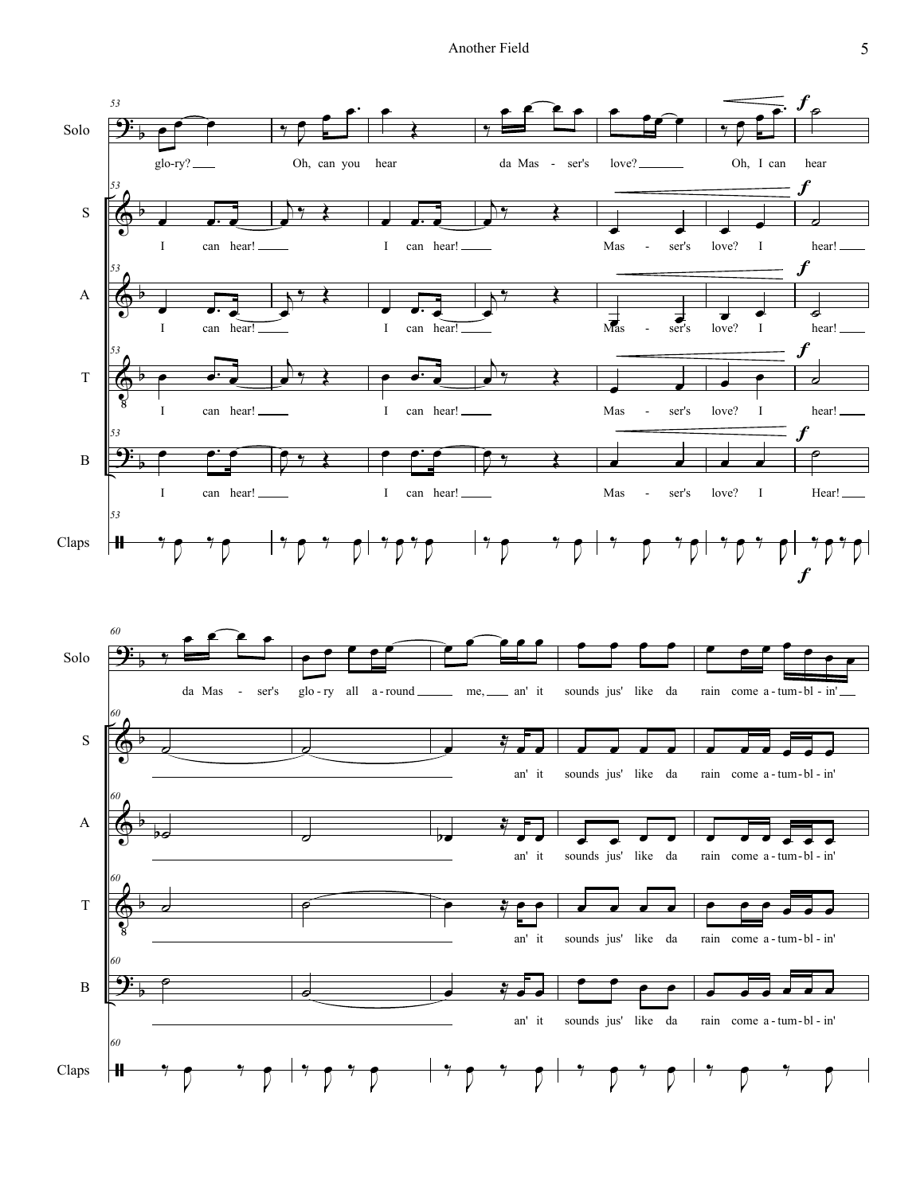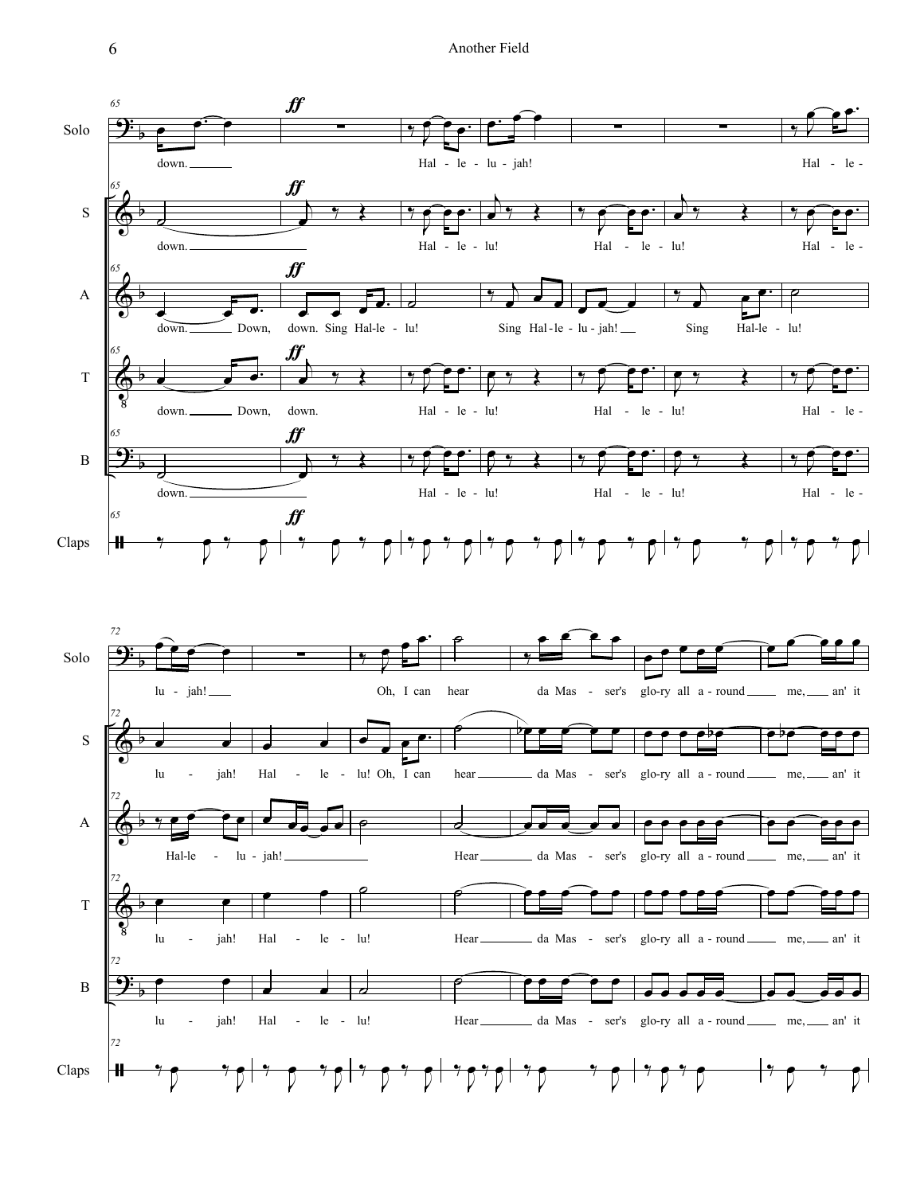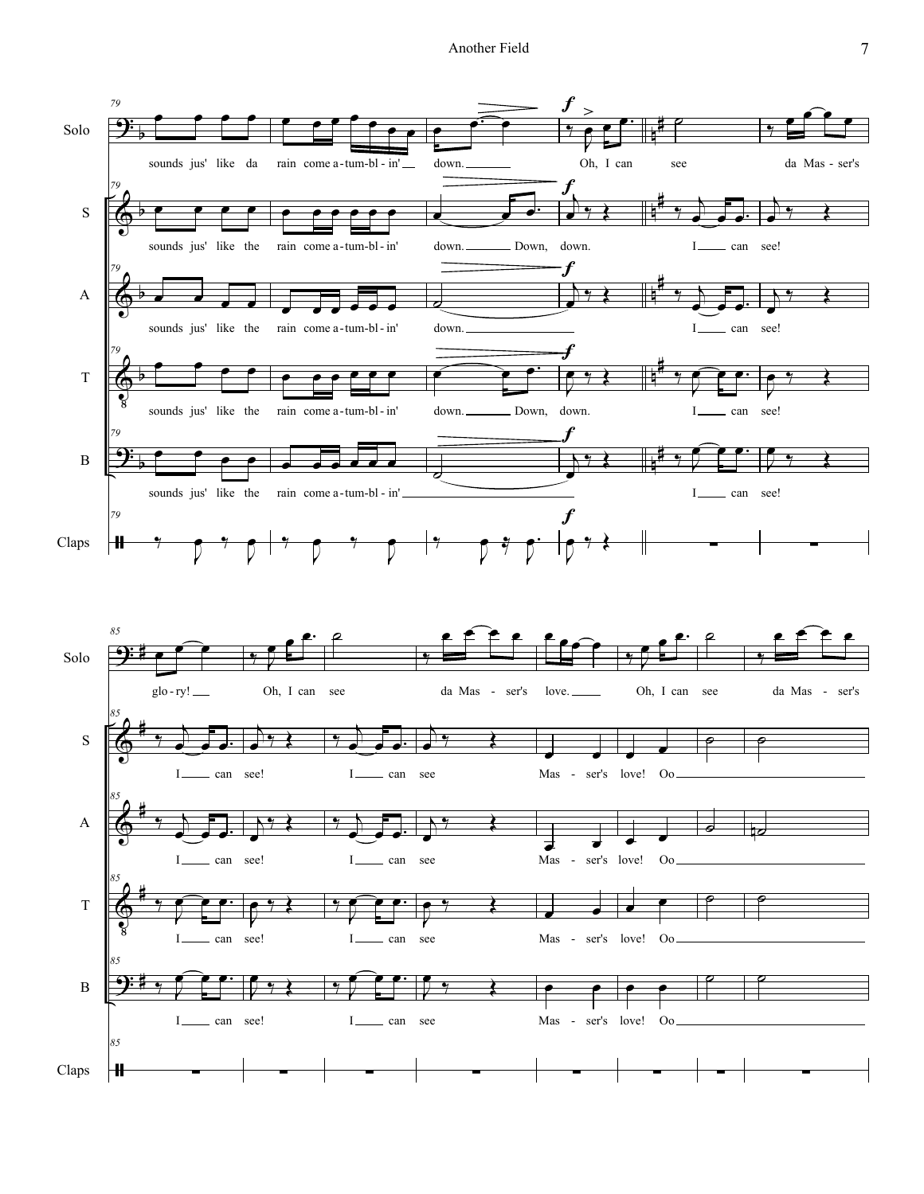Another Field 7

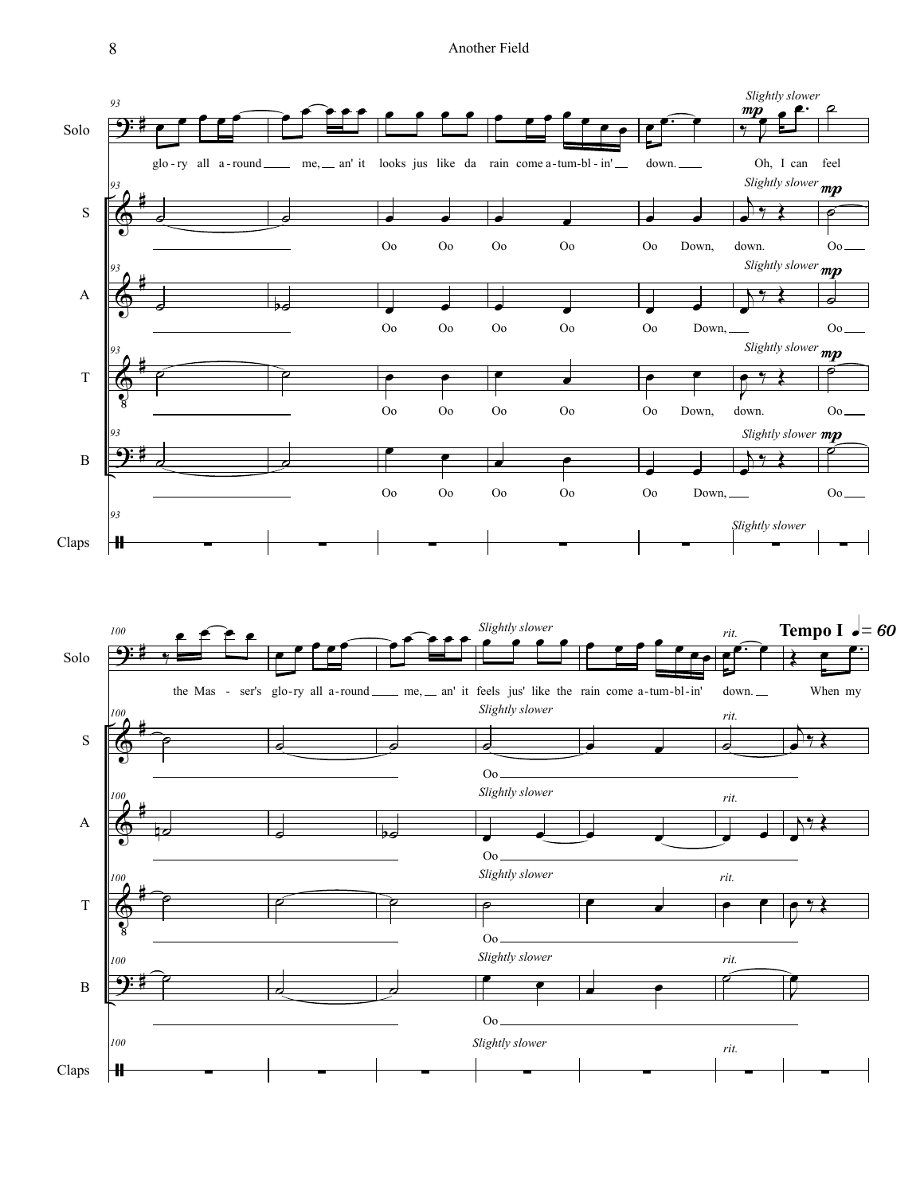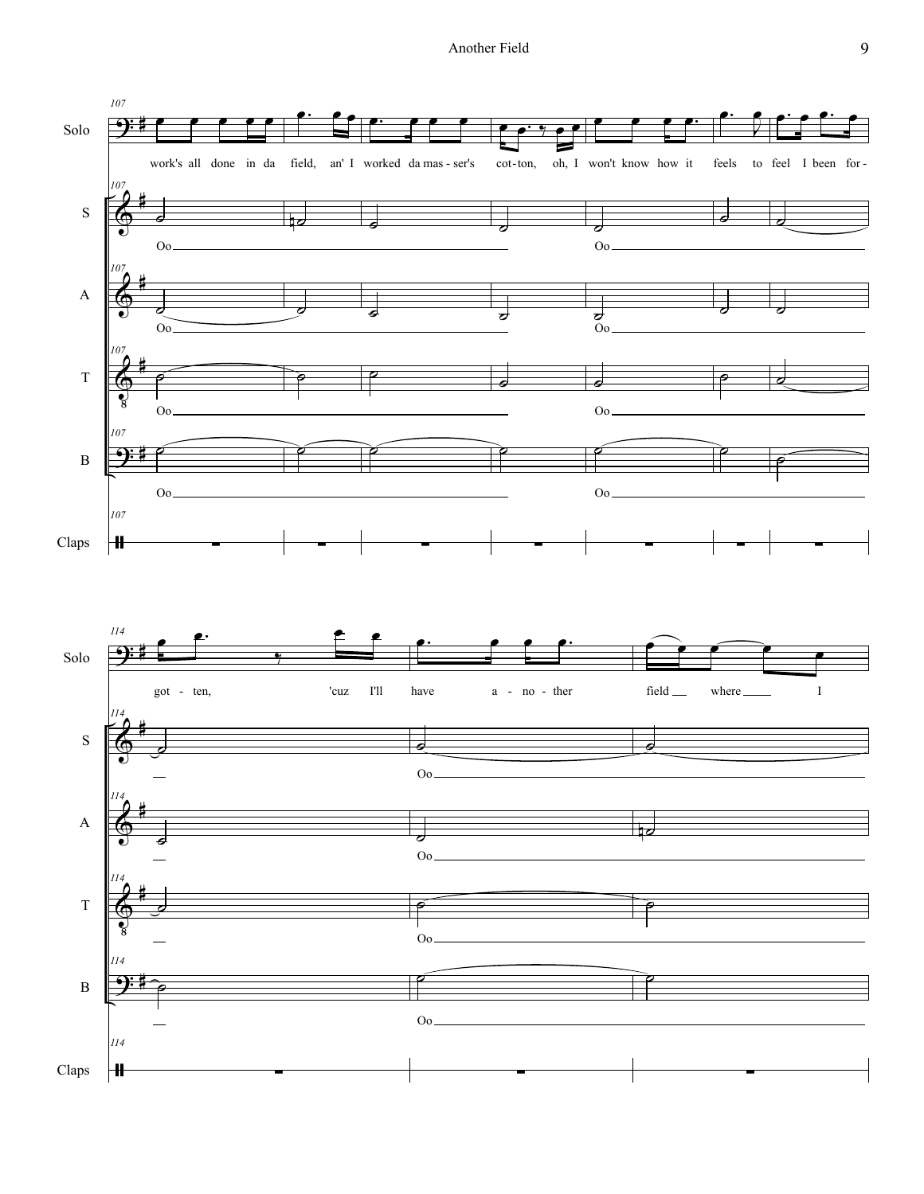